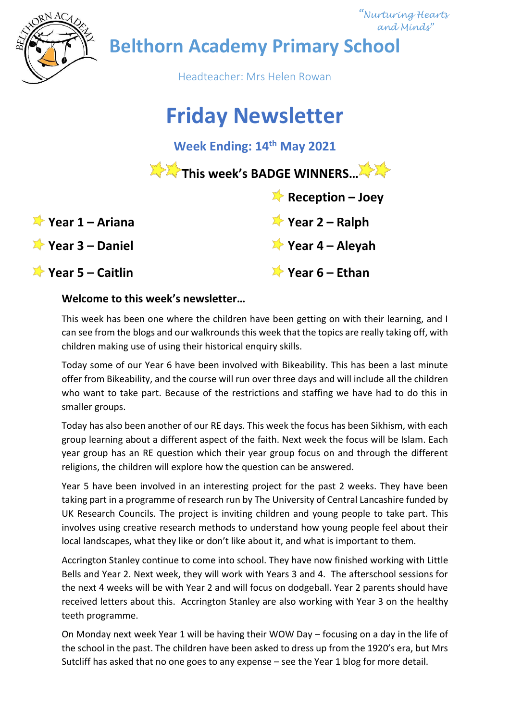

# **Welcome to this week's newsletter…**

This week has been one where the children have been getting on with their learning, and I can see from the blogs and our walkrounds this week that the topics are really taking off, with children making use of using their historical enquiry skills.

Today some of our Year 6 have been involved with Bikeability. This has been a last minute offer from Bikeability, and the course will run over three days and will include all the children who want to take part. Because of the restrictions and staffing we have had to do this in smaller groups.

Today has also been another of our RE days. This week the focus has been Sikhism, with each group learning about a different aspect of the faith. Next week the focus will be Islam. Each year group has an RE question which their year group focus on and through the different religions, the children will explore how the question can be answered.

Year 5 have been involved in an interesting project for the past 2 weeks. They have been taking part in a programme of research run by The University of Central Lancashire funded by UK Research Councils. The project is inviting children and young people to take part. This involves using creative research methods to understand how young people feel about their local landscapes, what they like or don't like about it, and what is important to them.

Accrington Stanley continue to come into school. They have now finished working with Little Bells and Year 2. Next week, they will work with Years 3 and 4. The afterschool sessions for the next 4 weeks will be with Year 2 and will focus on dodgeball. Year 2 parents should have received letters about this. Accrington Stanley are also working with Year 3 on the healthy teeth programme.

On Monday next week Year 1 will be having their WOW Day – focusing on a day in the life of the school in the past. The children have been asked to dress up from the 1920's era, but Mrs Sutcliff has asked that no one goes to any expense – see the Year 1 blog for more detail.